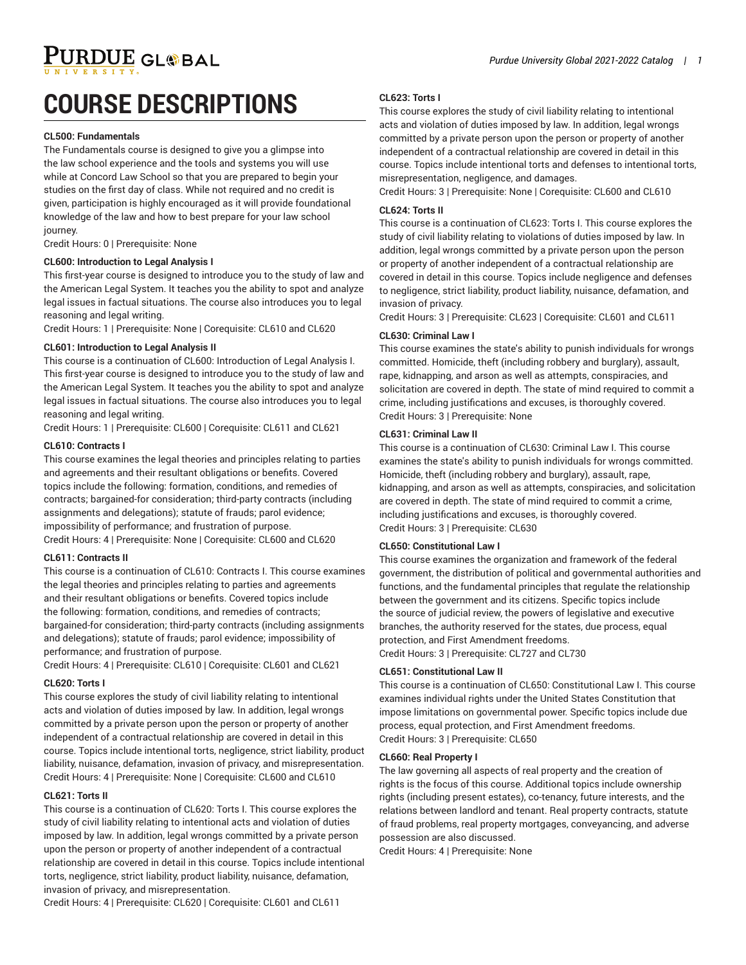PURDUE GL®BAL

# **COURSE DESCRIPTIONS**

#### **CL500: Fundamentals**

The Fundamentals course is designed to give you a glimpse into the law school experience and the tools and systems you will use while at Concord Law School so that you are prepared to begin your studies on the first day of class. While not required and no credit is given, participation is highly encouraged as it will provide foundational knowledge of the law and how to best prepare for your law school journey.

Credit Hours: 0 | Prerequisite: None

#### **CL600: Introduction to Legal Analysis I**

This first-year course is designed to introduce you to the study of law and the American Legal System. It teaches you the ability to spot and analyze legal issues in factual situations. The course also introduces you to legal reasoning and legal writing.

Credit Hours: 1 | Prerequisite: None | Corequisite: CL610 and CL620

## **CL601: Introduction to Legal Analysis II**

This course is a continuation of CL600: Introduction of Legal Analysis I. This first-year course is designed to introduce you to the study of law and the American Legal System. It teaches you the ability to spot and analyze legal issues in factual situations. The course also introduces you to legal reasoning and legal writing.

Credit Hours: 1 | Prerequisite: CL600 | Corequisite: CL611 and CL621

#### **CL610: Contracts I**

This course examines the legal theories and principles relating to parties and agreements and their resultant obligations or benefits. Covered topics include the following: formation, conditions, and remedies of contracts; bargained-for consideration; third-party contracts (including assignments and delegations); statute of frauds; parol evidence; impossibility of performance; and frustration of purpose. Credit Hours: 4 | Prerequisite: None | Corequisite: CL600 and CL620

#### **CL611: Contracts II**

This course is a continuation of CL610: Contracts I. This course examines the legal theories and principles relating to parties and agreements and their resultant obligations or benefits. Covered topics include the following: formation, conditions, and remedies of contracts; bargained-for consideration; third-party contracts (including assignments and delegations); statute of frauds; parol evidence; impossibility of performance; and frustration of purpose.

Credit Hours: 4 | Prerequisite: CL610 | Corequisite: CL601 and CL621

#### **CL620: Torts I**

This course explores the study of civil liability relating to intentional acts and violation of duties imposed by law. In addition, legal wrongs committed by a private person upon the person or property of another independent of a contractual relationship are covered in detail in this course. Topics include intentional torts, negligence, strict liability, product liability, nuisance, defamation, invasion of privacy, and misrepresentation. Credit Hours: 4 | Prerequisite: None | Corequisite: CL600 and CL610

## **CL621: Torts II**

This course is a continuation of CL620: Torts I. This course explores the study of civil liability relating to intentional acts and violation of duties imposed by law. In addition, legal wrongs committed by a private person upon the person or property of another independent of a contractual relationship are covered in detail in this course. Topics include intentional torts, negligence, strict liability, product liability, nuisance, defamation, invasion of privacy, and misrepresentation.

Credit Hours: 4 | Prerequisite: CL620 | Corequisite: CL601 and CL611

#### **CL623: Torts I**

This course explores the study of civil liability relating to intentional acts and violation of duties imposed by law. In addition, legal wrongs committed by a private person upon the person or property of another independent of a contractual relationship are covered in detail in this course. Topics include intentional torts and defenses to intentional torts, misrepresentation, negligence, and damages.

Credit Hours: 3 | Prerequisite: None | Corequisite: CL600 and CL610

#### **CL624: Torts II**

This course is a continuation of CL623: Torts I. This course explores the study of civil liability relating to violations of duties imposed by law. In addition, legal wrongs committed by a private person upon the person or property of another independent of a contractual relationship are covered in detail in this course. Topics include negligence and defenses to negligence, strict liability, product liability, nuisance, defamation, and invasion of privacy.

Credit Hours: 3 | Prerequisite: CL623 | Corequisite: CL601 and CL611

# **CL630: Criminal Law I**

This course examines the state's ability to punish individuals for wrongs committed. Homicide, theft (including robbery and burglary), assault, rape, kidnapping, and arson as well as attempts, conspiracies, and solicitation are covered in depth. The state of mind required to commit a crime, including justifications and excuses, is thoroughly covered. Credit Hours: 3 | Prerequisite: None

## **CL631: Criminal Law II**

This course is a continuation of CL630: Criminal Law I. This course examines the state's ability to punish individuals for wrongs committed. Homicide, theft (including robbery and burglary), assault, rape, kidnapping, and arson as well as attempts, conspiracies, and solicitation are covered in depth. The state of mind required to commit a crime, including justifications and excuses, is thoroughly covered. Credit Hours: 3 | Prerequisite: CL630

#### **CL650: Constitutional Law I**

This course examines the organization and framework of the federal government, the distribution of political and governmental authorities and functions, and the fundamental principles that regulate the relationship between the government and its citizens. Specific topics include the source of judicial review, the powers of legislative and executive branches, the authority reserved for the states, due process, equal protection, and First Amendment freedoms. Credit Hours: 3 | Prerequisite: CL727 and CL730

## **CL651: Constitutional Law II**

This course is a continuation of CL650: Constitutional Law I. This course examines individual rights under the United States Constitution that impose limitations on governmental power. Specific topics include due process, equal protection, and First Amendment freedoms. Credit Hours: 3 | Prerequisite: CL650

## **CL660: Real Property I**

The law governing all aspects of real property and the creation of rights is the focus of this course. Additional topics include ownership rights (including present estates), co-tenancy, future interests, and the relations between landlord and tenant. Real property contracts, statute of fraud problems, real property mortgages, conveyancing, and adverse possession are also discussed.

Credit Hours: 4 | Prerequisite: None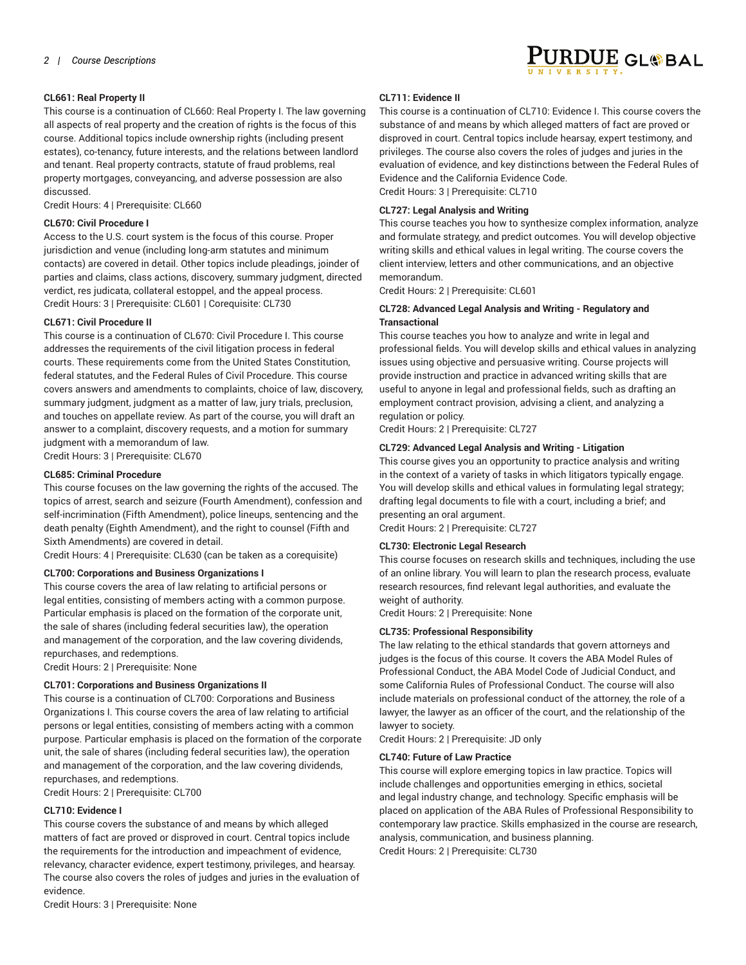

# **CL661: Real Property II**

This course is a continuation of CL660: Real Property I. The law governing all aspects of real property and the creation of rights is the focus of this course. Additional topics include ownership rights (including present estates), co-tenancy, future interests, and the relations between landlord and tenant. Real property contracts, statute of fraud problems, real property mortgages, conveyancing, and adverse possession are also discussed.

Credit Hours: 4 | Prerequisite: CL660

# **CL670: Civil Procedure I**

Access to the U.S. court system is the focus of this course. Proper jurisdiction and venue (including long-arm statutes and minimum contacts) are covered in detail. Other topics include pleadings, joinder of parties and claims, class actions, discovery, summary judgment, directed verdict, res judicata, collateral estoppel, and the appeal process. Credit Hours: 3 | Prerequisite: CL601 | Corequisite: CL730

# **CL671: Civil Procedure II**

This course is a continuation of CL670: Civil Procedure I. This course addresses the requirements of the civil litigation process in federal courts. These requirements come from the United States Constitution, federal statutes, and the Federal Rules of Civil Procedure. This course covers answers and amendments to complaints, choice of law, discovery, summary judgment, judgment as a matter of law, jury trials, preclusion, and touches on appellate review. As part of the course, you will draft an answer to a complaint, discovery requests, and a motion for summary judgment with a memorandum of law. Credit Hours: 3 | Prerequisite: CL670

# **CL685: Criminal Procedure**

This course focuses on the law governing the rights of the accused. The topics of arrest, search and seizure (Fourth Amendment), confession and self-incrimination (Fifth Amendment), police lineups, sentencing and the death penalty (Eighth Amendment), and the right to counsel (Fifth and Sixth Amendments) are covered in detail.

Credit Hours: 4 | Prerequisite: CL630 (can be taken as a corequisite)

# **CL700: Corporations and Business Organizations I**

This course covers the area of law relating to artificial persons or legal entities, consisting of members acting with a common purpose. Particular emphasis is placed on the formation of the corporate unit, the sale of shares (including federal securities law), the operation and management of the corporation, and the law covering dividends, repurchases, and redemptions.

Credit Hours: 2 | Prerequisite: None

# **CL701: Corporations and Business Organizations II**

This course is a continuation of CL700: Corporations and Business Organizations I. This course covers the area of law relating to artificial persons or legal entities, consisting of members acting with a common purpose. Particular emphasis is placed on the formation of the corporate unit, the sale of shares (including federal securities law), the operation and management of the corporation, and the law covering dividends, repurchases, and redemptions.

Credit Hours: 2 | Prerequisite: CL700

# **CL710: Evidence I**

This course covers the substance of and means by which alleged matters of fact are proved or disproved in court. Central topics include the requirements for the introduction and impeachment of evidence, relevancy, character evidence, expert testimony, privileges, and hearsay. The course also covers the roles of judges and juries in the evaluation of evidence.

**CL711: Evidence II**

This course is a continuation of CL710: Evidence I. This course covers the substance of and means by which alleged matters of fact are proved or disproved in court. Central topics include hearsay, expert testimony, and privileges. The course also covers the roles of judges and juries in the evaluation of evidence, and key distinctions between the Federal Rules of Evidence and the California Evidence Code. Credit Hours: 3 | Prerequisite: CL710

# **CL727: Legal Analysis and Writing**

This course teaches you how to synthesize complex information, analyze and formulate strategy, and predict outcomes. You will develop objective writing skills and ethical values in legal writing. The course covers the client interview, letters and other communications, and an objective memorandum.

Credit Hours: 2 | Prerequisite: CL601

# **CL728: Advanced Legal Analysis and Writing - Regulatory and Transactional**

This course teaches you how to analyze and write in legal and professional fields. You will develop skills and ethical values in analyzing issues using objective and persuasive writing. Course projects will provide instruction and practice in advanced writing skills that are useful to anyone in legal and professional fields, such as drafting an employment contract provision, advising a client, and analyzing a regulation or policy.

Credit Hours: 2 | Prerequisite: CL727

# **CL729: Advanced Legal Analysis and Writing - Litigation**

This course gives you an opportunity to practice analysis and writing in the context of a variety of tasks in which litigators typically engage. You will develop skills and ethical values in formulating legal strategy; drafting legal documents to file with a court, including a brief; and presenting an oral argument.

Credit Hours: 2 | Prerequisite: CL727

# **CL730: Electronic Legal Research**

This course focuses on research skills and techniques, including the use of an online library. You will learn to plan the research process, evaluate research resources, find relevant legal authorities, and evaluate the weight of authority.

Credit Hours: 2 | Prerequisite: None

# **CL735: Professional Responsibility**

The law relating to the ethical standards that govern attorneys and judges is the focus of this course. It covers the ABA Model Rules of Professional Conduct, the ABA Model Code of Judicial Conduct, and some California Rules of Professional Conduct. The course will also include materials on professional conduct of the attorney, the role of a lawyer, the lawyer as an officer of the court, and the relationship of the lawyer to society.

Credit Hours: 2 | Prerequisite: JD only

## **CL740: Future of Law Practice**

This course will explore emerging topics in law practice. Topics will include challenges and opportunities emerging in ethics, societal and legal industry change, and technology. Specific emphasis will be placed on application of the ABA Rules of Professional Responsibility to contemporary law practice. Skills emphasized in the course are research, analysis, communication, and business planning. Credit Hours: 2 | Prerequisite: CL730

Credit Hours: 3 | Prerequisite: None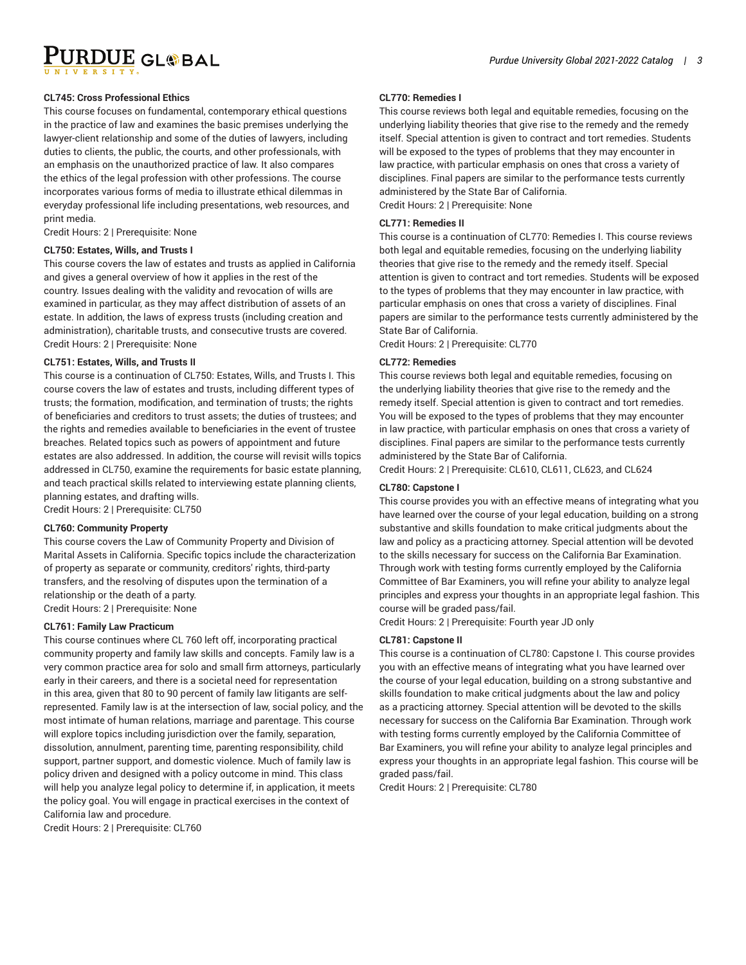URDUE GLOBAL

## **CL745: Cross Professional Ethics**

This course focuses on fundamental, contemporary ethical questions in the practice of law and examines the basic premises underlying the lawyer-client relationship and some of the duties of lawyers, including duties to clients, the public, the courts, and other professionals, with an emphasis on the unauthorized practice of law. It also compares the ethics of the legal profession with other professions. The course incorporates various forms of media to illustrate ethical dilemmas in everyday professional life including presentations, web resources, and print media.

Credit Hours: 2 | Prerequisite: None

#### **CL750: Estates, Wills, and Trusts I**

This course covers the law of estates and trusts as applied in California and gives a general overview of how it applies in the rest of the country. Issues dealing with the validity and revocation of wills are examined in particular, as they may affect distribution of assets of an estate. In addition, the laws of express trusts (including creation and administration), charitable trusts, and consecutive trusts are covered. Credit Hours: 2 | Prerequisite: None

#### **CL751: Estates, Wills, and Trusts II**

This course is a continuation of CL750: Estates, Wills, and Trusts I. This course covers the law of estates and trusts, including different types of trusts; the formation, modification, and termination of trusts; the rights of beneficiaries and creditors to trust assets; the duties of trustees; and the rights and remedies available to beneficiaries in the event of trustee breaches. Related topics such as powers of appointment and future estates are also addressed. In addition, the course will revisit wills topics addressed in CL750, examine the requirements for basic estate planning, and teach practical skills related to interviewing estate planning clients, planning estates, and drafting wills.

Credit Hours: 2 | Prerequisite: CL750

## **CL760: Community Property**

This course covers the Law of Community Property and Division of Marital Assets in California. Specific topics include the characterization of property as separate or community, creditors' rights, third-party transfers, and the resolving of disputes upon the termination of a relationship or the death of a party. Credit Hours: 2 | Prerequisite: None

#### **CL761: Family Law Practicum**

This course continues where CL 760 left off, incorporating practical community property and family law skills and concepts. Family law is a very common practice area for solo and small firm attorneys, particularly early in their careers, and there is a societal need for representation in this area, given that 80 to 90 percent of family law litigants are selfrepresented. Family law is at the intersection of law, social policy, and the most intimate of human relations, marriage and parentage. This course will explore topics including jurisdiction over the family, separation, dissolution, annulment, parenting time, parenting responsibility, child support, partner support, and domestic violence. Much of family law is policy driven and designed with a policy outcome in mind. This class will help you analyze legal policy to determine if, in application, it meets the policy goal. You will engage in practical exercises in the context of California law and procedure.

Credit Hours: 2 | Prerequisite: CL760

#### **CL770: Remedies I**

This course reviews both legal and equitable remedies, focusing on the underlying liability theories that give rise to the remedy and the remedy itself. Special attention is given to contract and tort remedies. Students will be exposed to the types of problems that they may encounter in law practice, with particular emphasis on ones that cross a variety of disciplines. Final papers are similar to the performance tests currently administered by the State Bar of California. Credit Hours: 2 | Prerequisite: None

#### **CL771: Remedies II**

This course is a continuation of CL770: Remedies I. This course reviews both legal and equitable remedies, focusing on the underlying liability theories that give rise to the remedy and the remedy itself. Special attention is given to contract and tort remedies. Students will be exposed to the types of problems that they may encounter in law practice, with particular emphasis on ones that cross a variety of disciplines. Final papers are similar to the performance tests currently administered by the State Bar of California.

Credit Hours: 2 | Prerequisite: CL770

### **CL772: Remedies**

This course reviews both legal and equitable remedies, focusing on the underlying liability theories that give rise to the remedy and the remedy itself. Special attention is given to contract and tort remedies. You will be exposed to the types of problems that they may encounter in law practice, with particular emphasis on ones that cross a variety of disciplines. Final papers are similar to the performance tests currently administered by the State Bar of California.

Credit Hours: 2 | Prerequisite: CL610, CL611, CL623, and CL624

#### **CL780: Capstone I**

This course provides you with an effective means of integrating what you have learned over the course of your legal education, building on a strong substantive and skills foundation to make critical judgments about the law and policy as a practicing attorney. Special attention will be devoted to the skills necessary for success on the California Bar Examination. Through work with testing forms currently employed by the California Committee of Bar Examiners, you will refine your ability to analyze legal principles and express your thoughts in an appropriate legal fashion. This course will be graded pass/fail.

Credit Hours: 2 | Prerequisite: Fourth year JD only

#### **CL781: Capstone II**

This course is a continuation of CL780: Capstone I. This course provides you with an effective means of integrating what you have learned over the course of your legal education, building on a strong substantive and skills foundation to make critical judgments about the law and policy as a practicing attorney. Special attention will be devoted to the skills necessary for success on the California Bar Examination. Through work with testing forms currently employed by the California Committee of Bar Examiners, you will refine your ability to analyze legal principles and express your thoughts in an appropriate legal fashion. This course will be graded pass/fail.

Credit Hours: 2 | Prerequisite: CL780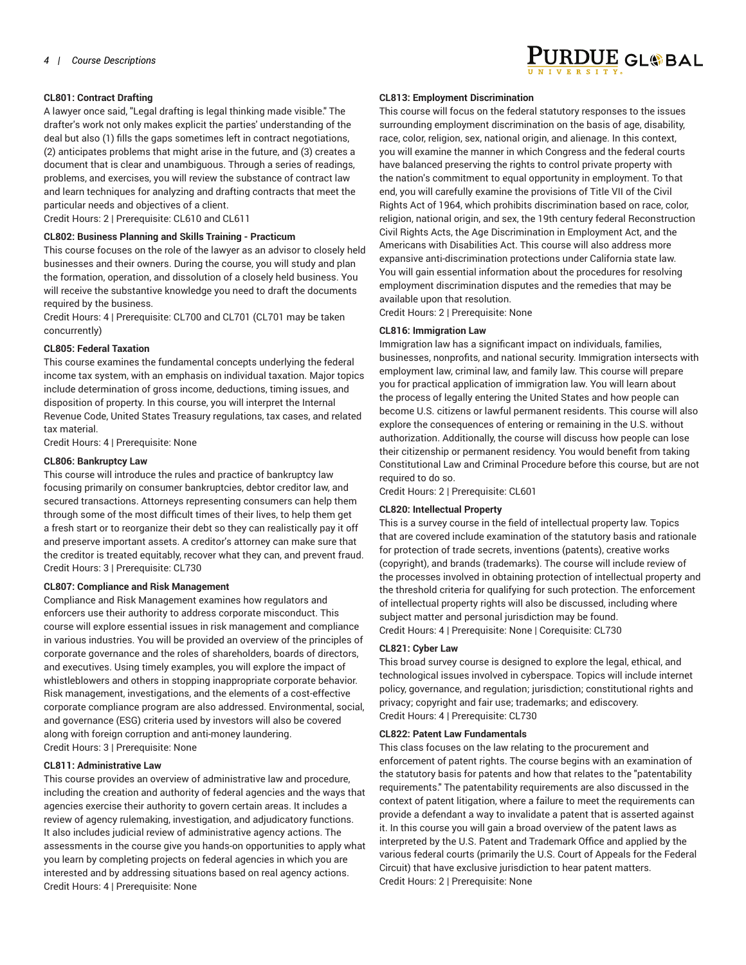# **CL801: Contract Drafting**

A lawyer once said, "Legal drafting is legal thinking made visible." The drafter's work not only makes explicit the parties' understanding of the deal but also (1) fills the gaps sometimes left in contract negotiations, (2) anticipates problems that might arise in the future, and (3) creates a document that is clear and unambiguous. Through a series of readings, problems, and exercises, you will review the substance of contract law and learn techniques for analyzing and drafting contracts that meet the particular needs and objectives of a client.

Credit Hours: 2 | Prerequisite: CL610 and CL611

## **CL802: Business Planning and Skills Training - Practicum**

This course focuses on the role of the lawyer as an advisor to closely held businesses and their owners. During the course, you will study and plan the formation, operation, and dissolution of a closely held business. You will receive the substantive knowledge you need to draft the documents required by the business.

Credit Hours: 4 | Prerequisite: CL700 and CL701 (CL701 may be taken concurrently)

# **CL805: Federal Taxation**

This course examines the fundamental concepts underlying the federal income tax system, with an emphasis on individual taxation. Major topics include determination of gross income, deductions, timing issues, and disposition of property. In this course, you will interpret the Internal Revenue Code, United States Treasury regulations, tax cases, and related tax material.

Credit Hours: 4 | Prerequisite: None

# **CL806: Bankruptcy Law**

This course will introduce the rules and practice of bankruptcy law focusing primarily on consumer bankruptcies, debtor creditor law, and secured transactions. Attorneys representing consumers can help them through some of the most difficult times of their lives, to help them get a fresh start or to reorganize their debt so they can realistically pay it off and preserve important assets. A creditor's attorney can make sure that the creditor is treated equitably, recover what they can, and prevent fraud. Credit Hours: 3 | Prerequisite: CL730

## **CL807: Compliance and Risk Management**

Compliance and Risk Management examines how regulators and enforcers use their authority to address corporate misconduct. This course will explore essential issues in risk management and compliance in various industries. You will be provided an overview of the principles of corporate governance and the roles of shareholders, boards of directors, and executives. Using timely examples, you will explore the impact of whistleblowers and others in stopping inappropriate corporate behavior. Risk management, investigations, and the elements of a cost-effective corporate compliance program are also addressed. Environmental, social, and governance (ESG) criteria used by investors will also be covered along with foreign corruption and anti-money laundering. Credit Hours: 3 | Prerequisite: None

# **CL811: Administrative Law**

This course provides an overview of administrative law and procedure, including the creation and authority of federal agencies and the ways that agencies exercise their authority to govern certain areas. It includes a review of agency rulemaking, investigation, and adjudicatory functions. It also includes judicial review of administrative agency actions. The assessments in the course give you hands-on opportunities to apply what you learn by completing projects on federal agencies in which you are interested and by addressing situations based on real agency actions. Credit Hours: 4 | Prerequisite: None

# **CL813: Employment Discrimination**

This course will focus on the federal statutory responses to the issues surrounding employment discrimination on the basis of age, disability, race, color, religion, sex, national origin, and alienage. In this context, you will examine the manner in which Congress and the federal courts have balanced preserving the rights to control private property with the nation's commitment to equal opportunity in employment. To that end, you will carefully examine the provisions of Title VII of the Civil Rights Act of 1964, which prohibits discrimination based on race, color, religion, national origin, and sex, the 19th century federal Reconstruction Civil Rights Acts, the Age Discrimination in Employment Act, and the Americans with Disabilities Act. This course will also address more expansive anti-discrimination protections under California state law. You will gain essential information about the procedures for resolving employment discrimination disputes and the remedies that may be available upon that resolution.

Credit Hours: 2 | Prerequisite: None

# **CL816: Immigration Law**

Immigration law has a significant impact on individuals, families, businesses, nonprofits, and national security. Immigration intersects with employment law, criminal law, and family law. This course will prepare you for practical application of immigration law. You will learn about the process of legally entering the United States and how people can become U.S. citizens or lawful permanent residents. This course will also explore the consequences of entering or remaining in the U.S. without authorization. Additionally, the course will discuss how people can lose their citizenship or permanent residency. You would benefit from taking Constitutional Law and Criminal Procedure before this course, but are not required to do so.

Credit Hours: 2 | Prerequisite: CL601

## **CL820: Intellectual Property**

This is a survey course in the field of intellectual property law. Topics that are covered include examination of the statutory basis and rationale for protection of trade secrets, inventions (patents), creative works (copyright), and brands (trademarks). The course will include review of the processes involved in obtaining protection of intellectual property and the threshold criteria for qualifying for such protection. The enforcement of intellectual property rights will also be discussed, including where subject matter and personal jurisdiction may be found. Credit Hours: 4 | Prerequisite: None | Corequisite: CL730

## **CL821: Cyber Law**

This broad survey course is designed to explore the legal, ethical, and technological issues involved in cyberspace. Topics will include internet policy, governance, and regulation; jurisdiction; constitutional rights and privacy; copyright and fair use; trademarks; and ediscovery. Credit Hours: 4 | Prerequisite: CL730

## **CL822: Patent Law Fundamentals**

This class focuses on the law relating to the procurement and enforcement of patent rights. The course begins with an examination of the statutory basis for patents and how that relates to the "patentability requirements." The patentability requirements are also discussed in the context of patent litigation, where a failure to meet the requirements can provide a defendant a way to invalidate a patent that is asserted against it. In this course you will gain a broad overview of the patent laws as interpreted by the U.S. Patent and Trademark Office and applied by the various federal courts (primarily the U.S. Court of Appeals for the Federal Circuit) that have exclusive jurisdiction to hear patent matters. Credit Hours: 2 | Prerequisite: None

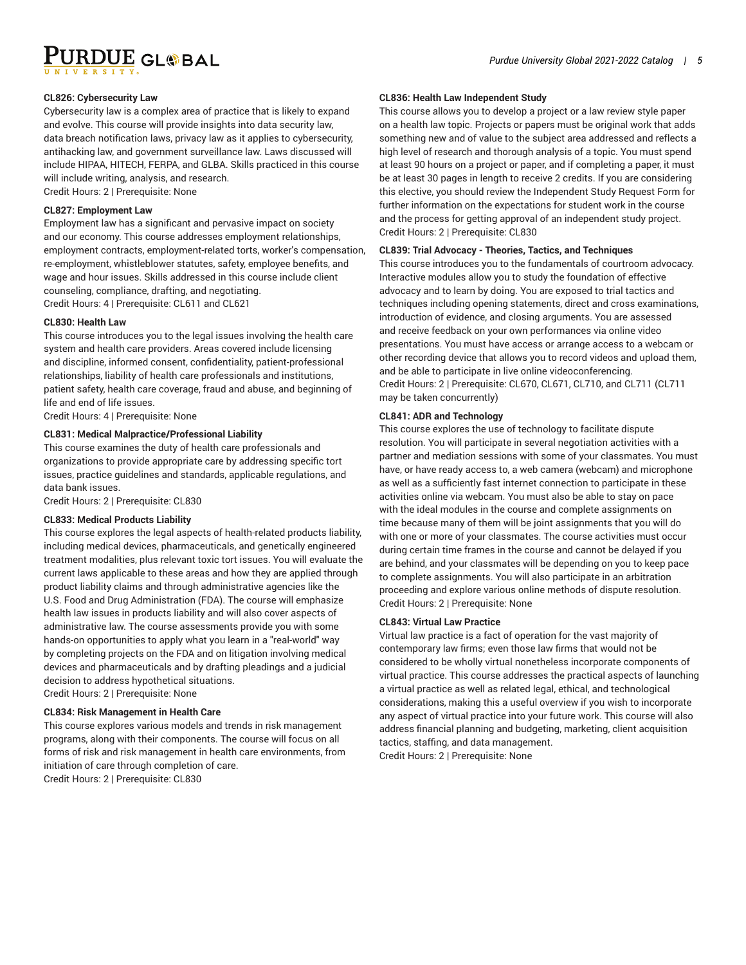PURDUE GL®BAL

## **CL826: Cybersecurity Law**

Cybersecurity law is a complex area of practice that is likely to expand and evolve. This course will provide insights into data security law, data breach notification laws, privacy law as it applies to cybersecurity, antihacking law, and government surveillance law. Laws discussed will include HIPAA, HITECH, FERPA, and GLBA. Skills practiced in this course will include writing, analysis, and research. Credit Hours: 2 | Prerequisite: None

#### **CL827: Employment Law**

Employment law has a significant and pervasive impact on society and our economy. This course addresses employment relationships, employment contracts, employment-related torts, worker's compensation, re-employment, whistleblower statutes, safety, employee benefits, and wage and hour issues. Skills addressed in this course include client counseling, compliance, drafting, and negotiating. Credit Hours: 4 | Prerequisite: CL611 and CL621

#### **CL830: Health Law**

This course introduces you to the legal issues involving the health care system and health care providers. Areas covered include licensing and discipline, informed consent, confidentiality, patient-professional relationships, liability of health care professionals and institutions, patient safety, health care coverage, fraud and abuse, and beginning of life and end of life issues.

Credit Hours: 4 | Prerequisite: None

# **CL831: Medical Malpractice/Professional Liability**

This course examines the duty of health care professionals and organizations to provide appropriate care by addressing specific tort issues, practice guidelines and standards, applicable regulations, and data bank issues.

Credit Hours: 2 | Prerequisite: CL830

#### **CL833: Medical Products Liability**

This course explores the legal aspects of health-related products liability, including medical devices, pharmaceuticals, and genetically engineered treatment modalities, plus relevant toxic tort issues. You will evaluate the current laws applicable to these areas and how they are applied through product liability claims and through administrative agencies like the U.S. Food and Drug Administration (FDA). The course will emphasize health law issues in products liability and will also cover aspects of administrative law. The course assessments provide you with some hands-on opportunities to apply what you learn in a "real-world" way by completing projects on the FDA and on litigation involving medical devices and pharmaceuticals and by drafting pleadings and a judicial decision to address hypothetical situations. Credit Hours: 2 | Prerequisite: None

#### **CL834: Risk Management in Health Care**

This course explores various models and trends in risk management programs, along with their components. The course will focus on all forms of risk and risk management in health care environments, from initiation of care through completion of care. Credit Hours: 2 | Prerequisite: CL830

## **CL836: Health Law Independent Study**

This course allows you to develop a project or a law review style paper on a health law topic. Projects or papers must be original work that adds something new and of value to the subject area addressed and reflects a high level of research and thorough analysis of a topic. You must spend at least 90 hours on a project or paper, and if completing a paper, it must be at least 30 pages in length to receive 2 credits. If you are considering this elective, you should review the Independent Study Request Form for further information on the expectations for student work in the course and the process for getting approval of an independent study project. Credit Hours: 2 | Prerequisite: CL830

#### **CL839: Trial Advocacy - Theories, Tactics, and Techniques**

This course introduces you to the fundamentals of courtroom advocacy. Interactive modules allow you to study the foundation of effective advocacy and to learn by doing. You are exposed to trial tactics and techniques including opening statements, direct and cross examinations, introduction of evidence, and closing arguments. You are assessed and receive feedback on your own performances via online video presentations. You must have access or arrange access to a webcam or other recording device that allows you to record videos and upload them, and be able to participate in live online videoconferencing. Credit Hours: 2 | Prerequisite: CL670, CL671, CL710, and CL711 (CL711 may be taken concurrently)

## **CL841: ADR and Technology**

This course explores the use of technology to facilitate dispute resolution. You will participate in several negotiation activities with a partner and mediation sessions with some of your classmates. You must have, or have ready access to, a web camera (webcam) and microphone as well as a sufficiently fast internet connection to participate in these activities online via webcam. You must also be able to stay on pace with the ideal modules in the course and complete assignments on time because many of them will be joint assignments that you will do with one or more of your classmates. The course activities must occur during certain time frames in the course and cannot be delayed if you are behind, and your classmates will be depending on you to keep pace to complete assignments. You will also participate in an arbitration proceeding and explore various online methods of dispute resolution. Credit Hours: 2 | Prerequisite: None

# **CL843: Virtual Law Practice**

Virtual law practice is a fact of operation for the vast majority of contemporary law firms; even those law firms that would not be considered to be wholly virtual nonetheless incorporate components of virtual practice. This course addresses the practical aspects of launching a virtual practice as well as related legal, ethical, and technological considerations, making this a useful overview if you wish to incorporate any aspect of virtual practice into your future work. This course will also address financial planning and budgeting, marketing, client acquisition tactics, staffing, and data management.

Credit Hours: 2 | Prerequisite: None